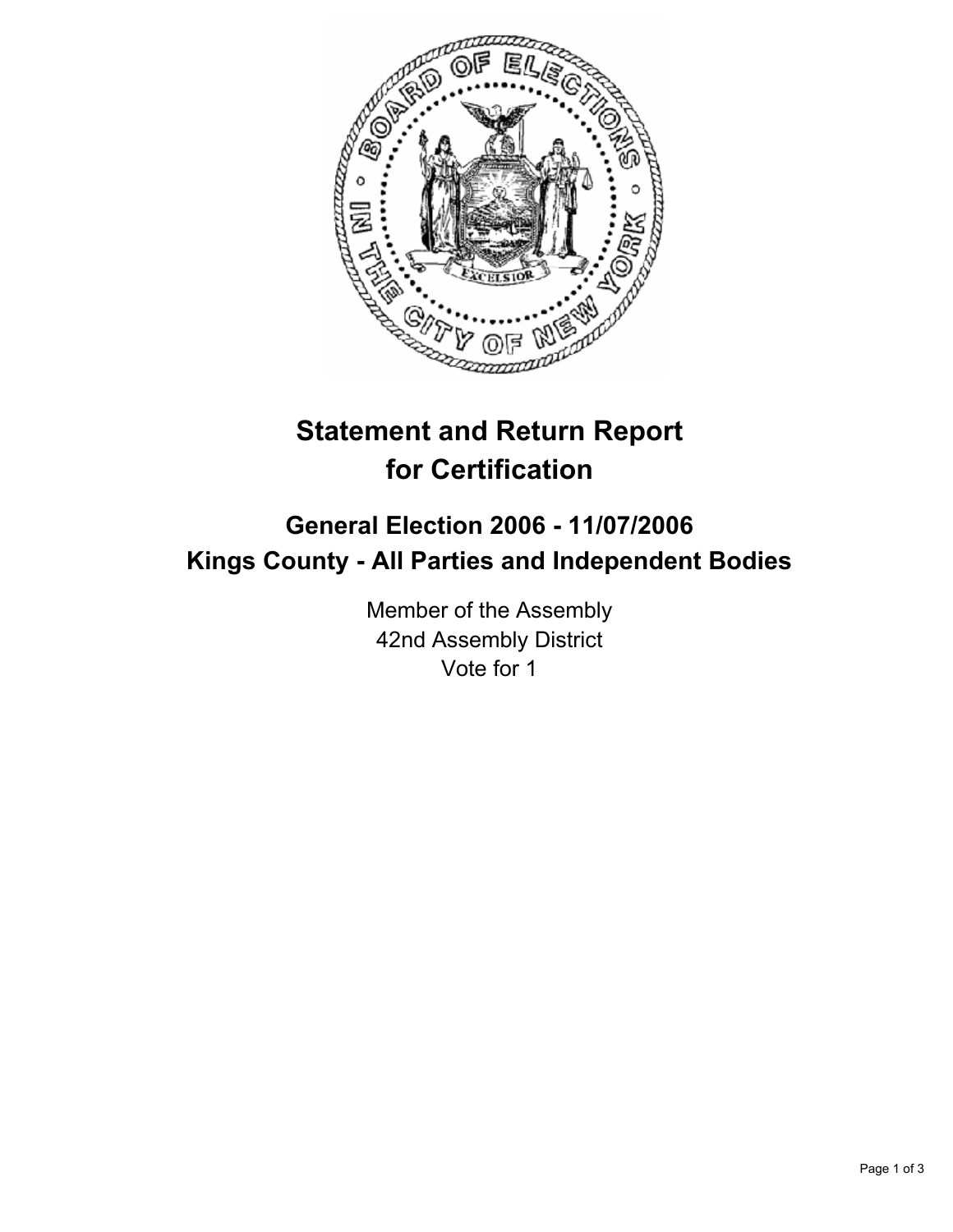

# **Statement and Return Report for Certification**

# **General Election 2006 - 11/07/2006 Kings County - All Parties and Independent Bodies**

Member of the Assembly 42nd Assembly District Vote for 1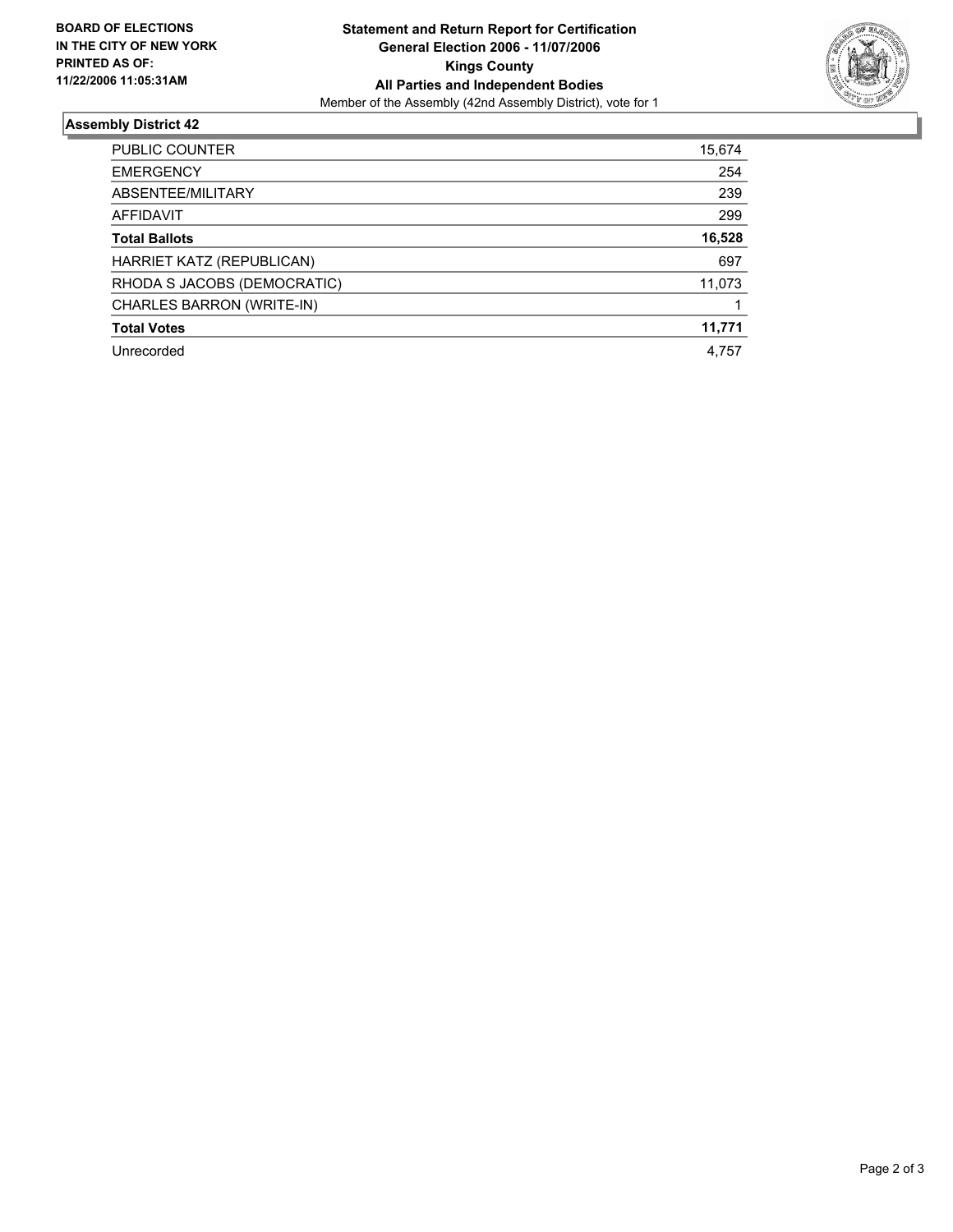

## **Assembly District 42**

| PUBLIC COUNTER              | 15,674 |
|-----------------------------|--------|
| <b>EMERGENCY</b>            | 254    |
| ABSENTEE/MILITARY           | 239    |
| AFFIDAVIT                   | 299    |
| <b>Total Ballots</b>        | 16,528 |
| HARRIET KATZ (REPUBLICAN)   | 697    |
| RHODA S JACOBS (DEMOCRATIC) | 11,073 |
| CHARLES BARRON (WRITE-IN)   |        |
| <b>Total Votes</b>          | 11,771 |
| Unrecorded                  | 4,757  |
|                             |        |